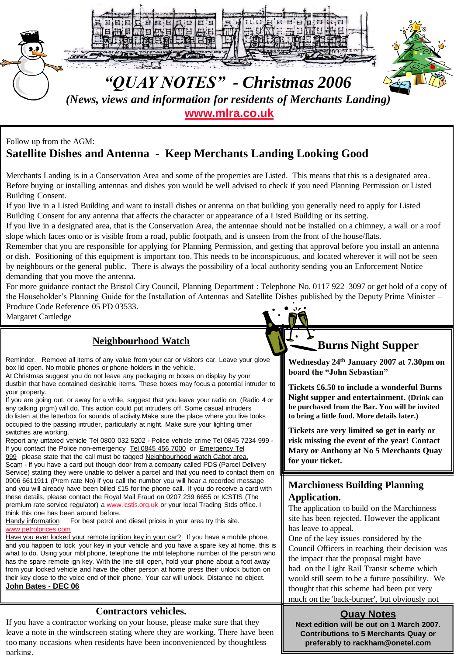

Follow up from the AGM:

## **Satellite Dishes and Antenna - Keep Merchants Landing Looking Good**

Merchants Landing is in a Conservation Area and some of the properties are Listed. This means that this is a designated area. Before buying or installing antennas and dishes you would be well advised to check if you need Planning Permission or Listed Building Consent.

If you live in a Listed Building and want to install dishes or antenna on that building you generally need to apply for Listed Building Consent for any antenna that affects the character or appearance of a Listed Building or its setting.

If you live in a designated area, that is the Conservation Area, the antennae should not be installed on a chimney, a wall or a roof slope which faces onto or is visible from a road, public footpath, and is unseen from the front of the house/flats.

Remember that you are responsible for applying for Planning Permission, and getting that approval before you install an antenna or dish. Positioning of this equipment is important too. This needs to be inconspicuous, and located wherever it will not be seen by neighbours or the general public. There is always the possibility of a local authority sending you an Enforcement Notice demanding that you move the antenna.

For more guidance contact the Bristol City Council, Planning Department : Telephone No. 0117 922 3097 or get hold of a copy of the Householder's Planning Guide for the Installation of Antennas and Satellite Dishes published by the Deputy Prime Minister – Produce Code Reference 05 PD 03533.

Margaret Cartledge

## **Neighbourhood Watch**

Reminder. Remove all items of any value from your car or visitors car. Leave your glove box lid open. No mobile phones or phone holders in the vehicle.

At Christmas suggest you do not leave any packaging or boxes on display by your dustbin that have contained desirable items. These boxes may focus a potential intruder to your property.

If you are going out, or away for a while, suggest that you leave your radio on. (Radio 4 or any talking prgm) will do. This action could put intruders off. Some casual intruders do listen at the letterbox for sounds of activity.Make sure the place where you live looks occupied to the passing intruder, particularly at night. Make sure your lighting timer switches are working.

Report any untaxed vehicle Tel 0800 032 5202 - Police vehicle crime Tel 0845 7234 999 - If you contact the Police non-emergency Tel 0845 456 7000 or Emergency Tel 999 please state that the call must be tagged Neighbourhood watch Cabot area. Scam - If you have a card put though door from a company called PDS (Parcel Delivery Service) stating they were unable to deliver a parcel and that you need to contact them on 0906 6611911 (Prem rate No) If you call the number you will hear a recorded message and you will already have been billed £15 for the phone call. If you do receive a card with these details, please contact the Royal Mail Fraud on 0207 239 6655 or ICSTIS (The premium rate service regulator) a [www.icstis.org.uk](http://www.icstis.org.uk/) or your local Trading Stds office. I think this one has been around before.

Handy information For best petrol and diesel prices in your area try this site. [www.petrolprices.com](http://www.petrolprices.com/)

Have you ever locked your remote ignition key in your car? If you have a mobile phone, and you happen to lock your key in your vehicle and you have a spare key at home, this is what to do. Using your mbl phone, telephone the mbl telephone number of the person who has the spare remote ign key. With the line still open, hold your phone about a foot away from your locked vehicle and have the other person at home press their unlock button on their key close to the voice end of their phone. Your car will unlock. Distance no object. **John Bates - DEC 06**

## **Contractors vehicles.**

If you have a contractor working on your house, please make sure that they leave a note in the windscreen stating where they are working. There have been too many occasions when residents have been inconvenienced by thoughtless parking.

# **Burns Night Supper**

**Wednesday 24th January 2007 at 7.30pm on board the "John Sebastian"**

**Tickets £6.50 to include a wonderful Burns Night supper and entertainment. (Drink can be purchased from the Bar. You will be invited to bring a little food. More details later.)**

**Tickets are very limited so get in early or risk missing the event of the year! Contact Mary or Anthony at No 5 Merchants Quay for your ticket.**

### **Marchioness Building Planning Application.**

The application to build on the Marchioness site has been rejected. However the applicant has leave to appeal.

One of the key issues considered by the Council Officers in reaching their decision was the impact that the proposal might have had on the Light Rail Transit scheme which would still seem to be a future possibility. We thought that this scheme had been put very much on the 'back-burner', but obviously not

#### **Quay Notes**

**Next edition will be out on 1 March 2007. Contributions to 5 Merchants Quay or preferably to rackham@onetel.com**